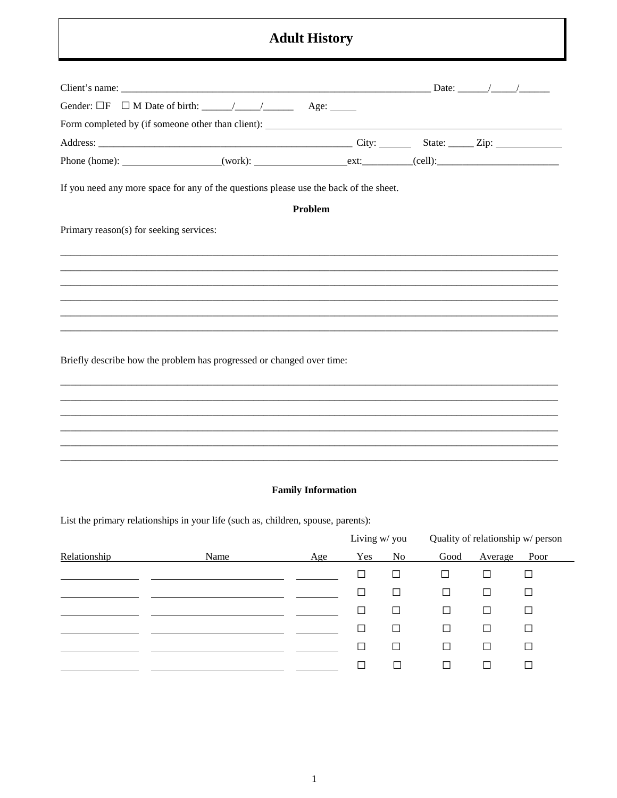## **Adult History**

| If you need any more space for any of the questions please use the back of the sheet. |         |  |
|---------------------------------------------------------------------------------------|---------|--|
|                                                                                       | Problem |  |
| Primary reason(s) for seeking services:                                               |         |  |
|                                                                                       |         |  |
|                                                                                       |         |  |
|                                                                                       |         |  |
|                                                                                       |         |  |
|                                                                                       |         |  |
| Briefly describe how the problem has progressed or changed over time:                 |         |  |
|                                                                                       |         |  |
|                                                                                       |         |  |
|                                                                                       |         |  |
|                                                                                       |         |  |
|                                                                                       |         |  |

## **Family Information**

List the primary relationships in your life (such as, children, spouse, parents):

|              |      |            | Living w/ you |                | Quality of relationship w/ person |         |        |
|--------------|------|------------|---------------|----------------|-----------------------------------|---------|--------|
| Relationship | Name | <u>Age</u> | Yes           | N <sub>o</sub> | Good                              | Average | Poor   |
|              |      |            | ⊔             | □              | $\Box$                            | ⊔       | $\Box$ |
|              |      |            | $\Box$        | $\Box$         | $\Box$                            | $\Box$  | $\Box$ |
|              |      |            | $\Box$        | $\Box$         | $\Box$                            | $\Box$  | $\Box$ |
|              |      |            | $\perp$       | $\Box$         | □                                 | $\Box$  | $\Box$ |
|              |      |            | ⊔             | $\Box$         | Ш                                 | □       | $\Box$ |
|              |      |            | $\mathbf{I}$  | $\Box$         | □                                 | $\Box$  | $\Box$ |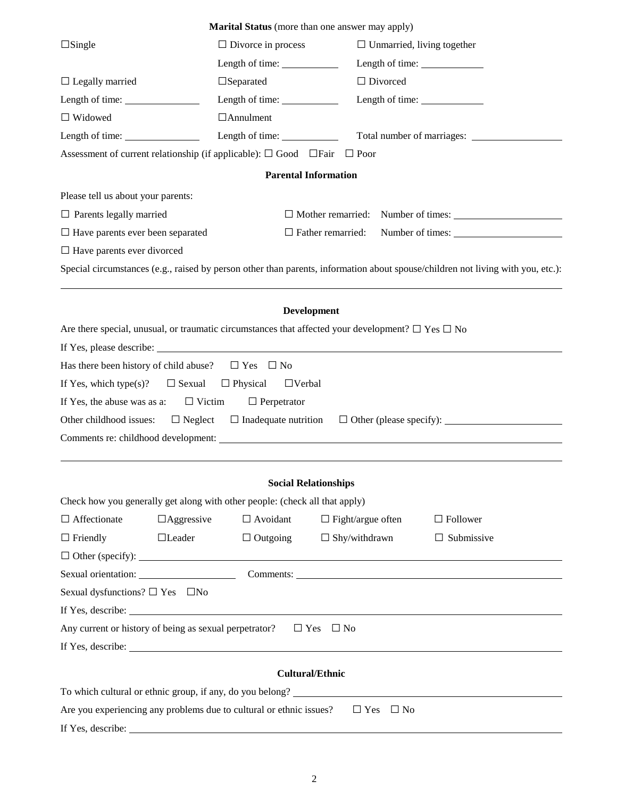|                                                                |                                                                                                             | <b>Marital Status</b> (more than one answer may apply) |                                                                                                                                                                                                                                |
|----------------------------------------------------------------|-------------------------------------------------------------------------------------------------------------|--------------------------------------------------------|--------------------------------------------------------------------------------------------------------------------------------------------------------------------------------------------------------------------------------|
| $\Box$ Single                                                  | $\Box$ Divorce in process                                                                                   |                                                        | $\Box$ Unmarried, living together                                                                                                                                                                                              |
|                                                                |                                                                                                             | Length of time: $\qquad \qquad$                        |                                                                                                                                                                                                                                |
| $\Box$ Legally married                                         | $\Box$ Separated                                                                                            |                                                        | $\Box$ Divorced                                                                                                                                                                                                                |
| Length of time: $\_\_$                                         |                                                                                                             |                                                        |                                                                                                                                                                                                                                |
| $\Box$ Widowed                                                 | $\Box$ Annulment                                                                                            |                                                        |                                                                                                                                                                                                                                |
| Length of time: $\_\_\_\_\_\_\_\_\_\_\_\_\_\_\_\_\_\_\_\_\_\_$ |                                                                                                             | Length of time:                                        |                                                                                                                                                                                                                                |
|                                                                | Assessment of current relationship (if applicable): $\Box$ Good $\Box$ Fair $\Box$ Poor                     |                                                        |                                                                                                                                                                                                                                |
|                                                                |                                                                                                             | <b>Parental Information</b>                            |                                                                                                                                                                                                                                |
| Please tell us about your parents:                             |                                                                                                             |                                                        |                                                                                                                                                                                                                                |
| $\Box$ Parents legally married                                 |                                                                                                             |                                                        |                                                                                                                                                                                                                                |
| $\Box$ Have parents ever been separated                        |                                                                                                             | $\Box$ Father remarried:                               | Number of times:                                                                                                                                                                                                               |
| $\Box$ Have parents ever divorced                              |                                                                                                             |                                                        |                                                                                                                                                                                                                                |
|                                                                |                                                                                                             |                                                        | Special circumstances (e.g., raised by person other than parents, information about spouse/children not living with you, etc.):                                                                                                |
|                                                                |                                                                                                             |                                                        |                                                                                                                                                                                                                                |
|                                                                |                                                                                                             | <b>Development</b>                                     |                                                                                                                                                                                                                                |
|                                                                | Are there special, unusual, or traumatic circumstances that affected your development? $\Box$ Yes $\Box$ No |                                                        |                                                                                                                                                                                                                                |
|                                                                |                                                                                                             |                                                        |                                                                                                                                                                                                                                |
|                                                                | Has there been history of child abuse? $\square$ Yes $\square$ No                                           |                                                        |                                                                                                                                                                                                                                |
| If Yes, which type $(s)$ ?                                     | $\Box$ Sexual $\Box$ Physical                                                                               | $\Box$ Verbal                                          |                                                                                                                                                                                                                                |
|                                                                | If Yes, the abuse was as a: $\square$ Victim $\square$ Perpetrator                                          |                                                        |                                                                                                                                                                                                                                |
|                                                                |                                                                                                             |                                                        |                                                                                                                                                                                                                                |
|                                                                |                                                                                                             |                                                        |                                                                                                                                                                                                                                |
|                                                                |                                                                                                             |                                                        |                                                                                                                                                                                                                                |
|                                                                |                                                                                                             |                                                        |                                                                                                                                                                                                                                |
|                                                                | Check how you generally get along with other people: (check all that apply)                                 | <b>Social Relationships</b>                            |                                                                                                                                                                                                                                |
| $\Box$ Affectionate                                            | $\Box$ Aggressive<br>$\Box$ Avoidant                                                                        |                                                        | $\Box$ Fight/argue often<br>$\Box$ Follower                                                                                                                                                                                    |
| $\Box$ Friendly                                                | $\Box$ Leader<br>$\Box$ Outgoing                                                                            | $\Box$ Shy/withdrawn                                   | $\Box$ Submissive                                                                                                                                                                                                              |
|                                                                |                                                                                                             |                                                        |                                                                                                                                                                                                                                |
|                                                                |                                                                                                             |                                                        | Sexual orientation: Comments: Comments: Comments: Comments: Comments: Comments: Comments: Comments: Comments: Comments: Comments: Comments: Comments: Comments: Comments: Comments: Comments: Comments: Comments: Comments: Co |
| Sexual dysfunctions? $\Box$ Yes $\Box$ No                      |                                                                                                             |                                                        |                                                                                                                                                                                                                                |
|                                                                |                                                                                                             |                                                        |                                                                                                                                                                                                                                |
|                                                                | Any current or history of being as sexual perpetrator? $\square$ Yes $\square$ No                           |                                                        |                                                                                                                                                                                                                                |
|                                                                |                                                                                                             |                                                        |                                                                                                                                                                                                                                |
|                                                                |                                                                                                             |                                                        |                                                                                                                                                                                                                                |
|                                                                |                                                                                                             | <b>Cultural/Ethnic</b>                                 |                                                                                                                                                                                                                                |
|                                                                |                                                                                                             |                                                        | To which cultural or ethnic group, if any, do you belong?                                                                                                                                                                      |

If Yes, describe: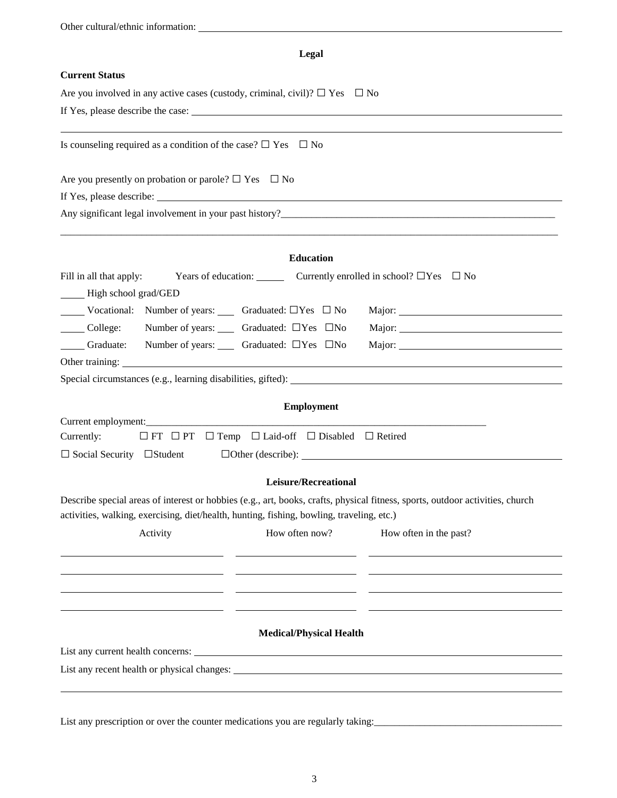| Other cultural/ethnic information:                                                         |                                                                                                                               |
|--------------------------------------------------------------------------------------------|-------------------------------------------------------------------------------------------------------------------------------|
|                                                                                            | Legal                                                                                                                         |
| <b>Current Status</b>                                                                      |                                                                                                                               |
| Are you involved in any active cases (custody, criminal, civil)? $\Box$ Yes $\Box$ No      |                                                                                                                               |
|                                                                                            |                                                                                                                               |
| Is counseling required as a condition of the case? $\Box$ Yes $\Box$ No                    |                                                                                                                               |
| Are you presently on probation or parole? $\square$ Yes $\square$ No                       |                                                                                                                               |
|                                                                                            |                                                                                                                               |
|                                                                                            |                                                                                                                               |
|                                                                                            | Education                                                                                                                     |
| Fill in all that apply:                                                                    | Years of education: Currently enrolled in school? $\Box$ Yes $\Box$ No                                                        |
| - High school grad/GED                                                                     |                                                                                                                               |
| <b>No. 2.1.</b> Vocational: Number of years: Consequently Graduated: $\Box$ Yes $\Box$ No. |                                                                                                                               |
| $\Box$ College: Number of years: $\Box$ Graduated: $\Box$ Yes $\Box$ No                    |                                                                                                                               |
| Graduate: Number of years: Graduated: $\Box$ Yes $\Box$ No                                 |                                                                                                                               |
|                                                                                            |                                                                                                                               |
|                                                                                            |                                                                                                                               |
|                                                                                            | <b>Employment</b>                                                                                                             |
|                                                                                            |                                                                                                                               |
| Currently:                                                                                 | $\Box$ FT $\Box$ PT $\Box$ Temp $\Box$ Laid-off $\Box$ Disabled $\Box$ Retired                                                |
| $\Box$ Social Security $\Box$ Student                                                      | $\Box$ Other (describe):                                                                                                      |
|                                                                                            | Leisure/Recreational                                                                                                          |
| activities, walking, exercising, diet/health, hunting, fishing, bowling, traveling, etc.)  | Describe special areas of interest or hobbies (e.g., art, books, crafts, physical fitness, sports, outdoor activities, church |
| Activity                                                                                   | How often now?<br>How often in the past?                                                                                      |
|                                                                                            |                                                                                                                               |
|                                                                                            |                                                                                                                               |
|                                                                                            |                                                                                                                               |
|                                                                                            |                                                                                                                               |
|                                                                                            | <b>Medical/Physical Health</b>                                                                                                |
|                                                                                            |                                                                                                                               |
|                                                                                            |                                                                                                                               |
|                                                                                            |                                                                                                                               |

List any prescription or over the counter medications you are regularly taking: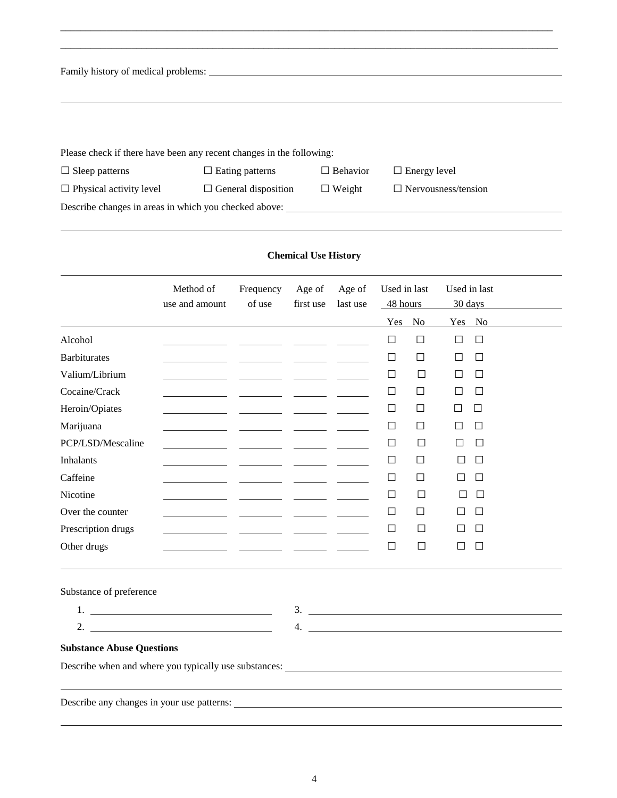| Family history of medical problems:                                  |                            |                    |                            |
|----------------------------------------------------------------------|----------------------------|--------------------|----------------------------|
|                                                                      |                            |                    |                            |
|                                                                      |                            |                    |                            |
|                                                                      |                            |                    |                            |
| Please check if there have been any recent changes in the following: |                            |                    |                            |
| $\Box$ Sleep patterns                                                | $\Box$ Eating patterns     | Behavior<br>$\Box$ | $\Box$ Energy level        |
| $\Box$ Physical activity level                                       | $\Box$ General disposition | $\Box$ Weight      | $\Box$ Nervousness/tension |

\_\_\_\_\_\_\_\_\_\_\_\_\_\_\_\_\_\_\_\_\_\_\_\_\_\_\_\_\_\_\_\_\_\_\_\_\_\_\_\_\_\_\_\_\_\_\_\_\_\_\_\_\_\_\_\_\_\_\_\_\_\_\_\_\_\_\_\_\_\_\_\_\_\_\_\_\_\_\_\_\_\_\_\_\_\_\_\_\_\_\_\_\_\_\_\_\_

Describe changes in areas in which you checked above:

## **Chemical Use History**

|                                                                                                                                                                                                                                                                                                                        | Method of<br>use and amount | Frequency<br>of use | Age of<br>first use        | Age of<br>last use | Used in last<br>48 hours |        | Used in last<br>30 days |        |               |
|------------------------------------------------------------------------------------------------------------------------------------------------------------------------------------------------------------------------------------------------------------------------------------------------------------------------|-----------------------------|---------------------|----------------------------|--------------------|--------------------------|--------|-------------------------|--------|---------------|
|                                                                                                                                                                                                                                                                                                                        |                             |                     |                            |                    | Yes                      | No     | Yes No                  |        |               |
| Alcohol                                                                                                                                                                                                                                                                                                                |                             |                     |                            |                    | $\Box$                   | $\Box$ | $\Box$                  | $\Box$ |               |
| <b>Barbiturates</b>                                                                                                                                                                                                                                                                                                    |                             |                     |                            |                    | $\Box$                   | П      | П                       | $\Box$ |               |
| Valium/Librium                                                                                                                                                                                                                                                                                                         |                             |                     |                            |                    | $\Box$                   | $\Box$ | $\Box$                  | $\Box$ |               |
| Cocaine/Crack                                                                                                                                                                                                                                                                                                          |                             |                     |                            |                    | $\Box$                   | $\Box$ | П                       | $\Box$ |               |
| Heroin/Opiates                                                                                                                                                                                                                                                                                                         |                             |                     |                            |                    | $\Box$                   | П      | П                       | $\Box$ |               |
| Marijuana                                                                                                                                                                                                                                                                                                              |                             |                     |                            |                    | $\Box$                   | □      | П                       | □      |               |
| PCP/LSD/Mescaline                                                                                                                                                                                                                                                                                                      |                             |                     |                            |                    | $\Box$                   | $\Box$ | $\Box$                  | $\Box$ |               |
| <b>Inhalants</b>                                                                                                                                                                                                                                                                                                       |                             |                     |                            |                    | $\Box$                   | □      | $\Box$                  | $\Box$ |               |
| Caffeine                                                                                                                                                                                                                                                                                                               |                             |                     |                            |                    | $\Box$                   | $\Box$ | П                       | $\Box$ |               |
| Nicotine                                                                                                                                                                                                                                                                                                               |                             |                     |                            |                    | $\Box$                   | $\Box$ |                         | $\Box$ |               |
| Over the counter                                                                                                                                                                                                                                                                                                       |                             |                     |                            |                    | $\Box$                   | $\Box$ | $\Box$                  | $\Box$ |               |
| Prescription drugs                                                                                                                                                                                                                                                                                                     |                             |                     | <u> Albanya (Albanya A</u> |                    | $\Box$                   | $\Box$ |                         | $\Box$ |               |
| Other drugs                                                                                                                                                                                                                                                                                                            |                             |                     |                            |                    | $\Box$                   | $\Box$ | $\Box$                  | $\Box$ |               |
| Substance of preference                                                                                                                                                                                                                                                                                                |                             |                     |                            |                    |                          |        |                         |        |               |
| 1. $\frac{1}{2}$ $\frac{1}{2}$ $\frac{1}{2}$ $\frac{1}{2}$ $\frac{1}{2}$ $\frac{1}{2}$ $\frac{1}{2}$ $\frac{1}{2}$ $\frac{1}{2}$ $\frac{1}{2}$ $\frac{1}{2}$ $\frac{1}{2}$ $\frac{1}{2}$ $\frac{1}{2}$ $\frac{1}{2}$ $\frac{1}{2}$ $\frac{1}{2}$ $\frac{1}{2}$ $\frac{1}{2}$ $\frac{1}{2}$ $\frac{1}{2}$ $\frac{1}{2}$ |                             |                     |                            |                    |                          |        |                         |        | $\frac{1}{2}$ |
| 2. $\overline{\phantom{a}}$                                                                                                                                                                                                                                                                                            |                             |                     |                            |                    |                          |        |                         |        |               |
| <b>Substance Abuse Questions</b>                                                                                                                                                                                                                                                                                       |                             |                     |                            |                    |                          |        |                         |        |               |
|                                                                                                                                                                                                                                                                                                                        |                             |                     |                            |                    |                          |        |                         |        |               |
|                                                                                                                                                                                                                                                                                                                        |                             |                     |                            |                    |                          |        |                         |        |               |
| Describe any changes in your use patterns:                                                                                                                                                                                                                                                                             |                             |                     |                            |                    |                          |        |                         |        |               |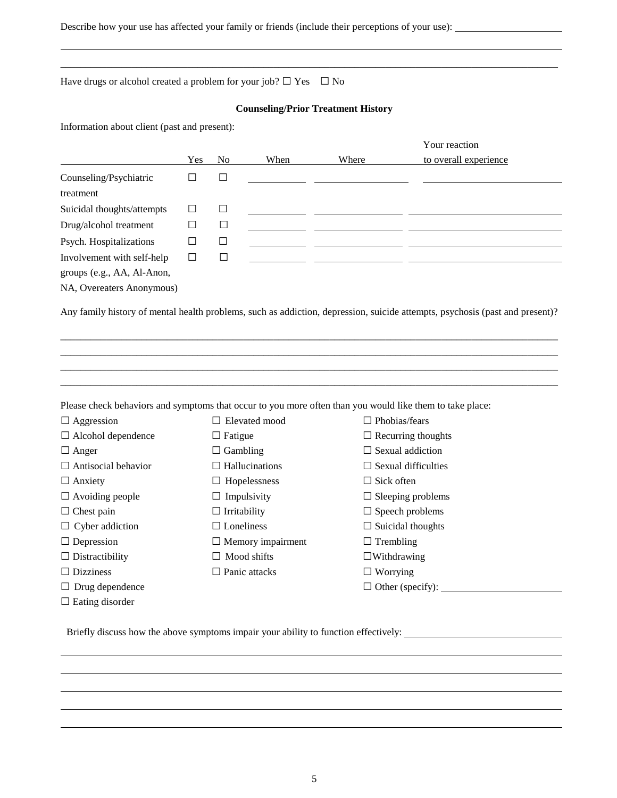Describe how your use has affected your family or friends (include their perceptions of your use):

Have drugs or alcohol created a problem for your job?  $\Box$  Yes  $\Box$  No

## **Counseling/Prior Treatment History**

\_\_\_\_\_\_\_\_\_\_\_\_\_\_\_\_\_\_\_\_\_\_\_\_\_\_\_\_\_\_\_\_\_\_\_\_\_\_\_\_\_\_\_\_\_\_\_\_\_\_\_\_\_\_\_\_\_\_\_\_\_\_\_\_\_\_\_\_\_\_\_\_\_\_\_\_\_\_\_\_\_\_\_\_\_\_\_\_\_\_\_\_\_\_\_\_\_\_

Information about client (past and present):

|                            |     |        |      |       | Your reaction         |
|----------------------------|-----|--------|------|-------|-----------------------|
|                            | Yes | No     | When | Where | to overall experience |
| Counseling/Psychiatric     |     | $\Box$ |      |       |                       |
| treatment                  |     |        |      |       |                       |
| Suicidal thoughts/attempts |     | $\Box$ |      |       |                       |
| Drug/alcohol treatment     |     | $\Box$ |      |       |                       |
| Psych. Hospitalizations    |     | $\Box$ |      |       |                       |
| Involvement with self-help |     | $\Box$ |      |       |                       |
| groups (e.g., AA, Al-Anon, |     |        |      |       |                       |
| NA, Overeaters Anonymous)  |     |        |      |       |                       |

Any family history of mental health problems, such as addiction, depression, suicide attempts, psychosis (past and present)?

\_\_\_\_\_\_\_\_\_\_\_\_\_\_\_\_\_\_\_\_\_\_\_\_\_\_\_\_\_\_\_\_\_\_\_\_\_\_\_\_\_\_\_\_\_\_\_\_\_\_\_\_\_\_\_\_\_\_\_\_\_\_\_\_\_\_\_\_\_\_\_\_\_\_\_\_\_\_\_\_\_\_\_\_\_\_\_\_\_\_\_\_\_\_\_\_\_\_ \_\_\_\_\_\_\_\_\_\_\_\_\_\_\_\_\_\_\_\_\_\_\_\_\_\_\_\_\_\_\_\_\_\_\_\_\_\_\_\_\_\_\_\_\_\_\_\_\_\_\_\_\_\_\_\_\_\_\_\_\_\_\_\_\_\_\_\_\_\_\_\_\_\_\_\_\_\_\_\_\_\_\_\_\_\_\_\_\_\_\_\_\_\_\_\_\_\_ \_\_\_\_\_\_\_\_\_\_\_\_\_\_\_\_\_\_\_\_\_\_\_\_\_\_\_\_\_\_\_\_\_\_\_\_\_\_\_\_\_\_\_\_\_\_\_\_\_\_\_\_\_\_\_\_\_\_\_\_\_\_\_\_\_\_\_\_\_\_\_\_\_\_\_\_\_\_\_\_\_\_\_\_\_\_\_\_\_\_\_\_\_\_\_\_\_\_ \_\_\_\_\_\_\_\_\_\_\_\_\_\_\_\_\_\_\_\_\_\_\_\_\_\_\_\_\_\_\_\_\_\_\_\_\_\_\_\_\_\_\_\_\_\_\_\_\_\_\_\_\_\_\_\_\_\_\_\_\_\_\_\_\_\_\_\_\_\_\_\_\_\_\_\_\_\_\_\_\_\_\_\_\_\_\_\_\_\_\_\_\_\_\_\_\_\_

Please check behaviors and symptoms that occur to you more often than you would like them to take place:

| $\Box$ Aggression          | Elevated mood<br>$\Box$  | $\Box$ Phobias/fears           |
|----------------------------|--------------------------|--------------------------------|
| $\Box$ Alcohol dependence  | $\Box$ Fatigue           | $\Box$ Recurring thoughts      |
| $\Box$ Anger               | $\Box$ Gambling          | $\Box$ Sexual addiction        |
| $\Box$ Antisocial behavior | $\Box$ Hallucinations    | $\Box$ Sexual difficulties     |
| $\Box$ Anxiety             | $\Box$ Hopelessness      | $\Box$ Sick often              |
| $\Box$ Avoiding people     | $\Box$ Impulsivity       | $\Box$ Sleeping problems       |
| $\Box$ Chest pain          | $\Box$ Irritability      | $\Box$ Speech problems         |
| $\Box$ Cyber addiction     | $\Box$ Loneliness        | $\Box$ Suicidal thoughts       |
| $\Box$ Depression          | $\Box$ Memory impairment | $\Box$ Trembling               |
| $\Box$ Distractibility     | $\Box$ Mood shifts       | $\Box$ Withdrawing             |
| $\Box$ Dizziness           | $\Box$ Panic attacks     | $\Box$ Worrying                |
| $\Box$ Drug dependence     |                          | $\Box$ Other (specify): $\Box$ |
| $\Box$ Eating disorder     |                          |                                |

Briefly discuss how the above symptoms impair your ability to function effectively: